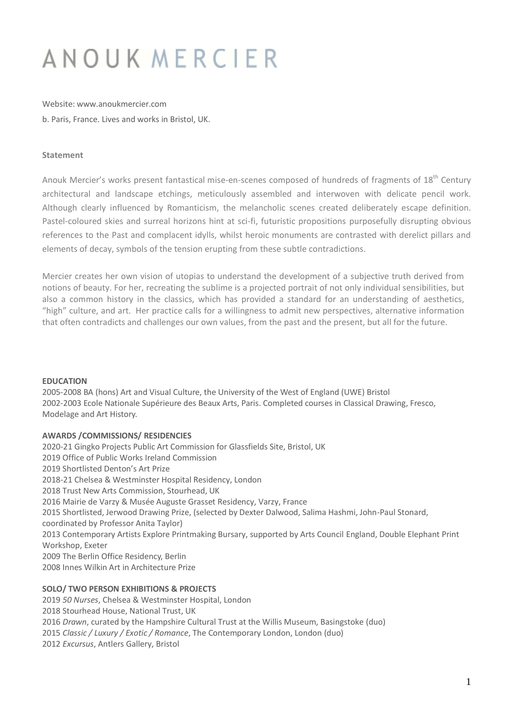# ANOUK MERCIER

Website: www.anoukmercier.com b. Paris, France. Lives and works in Bristol, UK.

## **Statement**

Anouk Mercier's works present fantastical mise-en-scenes composed of hundreds of fragments of 18<sup>th</sup> Century architectural and landscape etchings, meticulously assembled and interwoven with delicate pencil work. Although clearly influenced by Romanticism, the melancholic scenes created deliberately escape definition. Pastel-coloured skies and surreal horizons hint at sci-fi, futuristic propositions purposefully disrupting obvious references to the Past and complacent idylls, whilst heroic monuments are contrasted with derelict pillars and elements of decay, symbols of the tension erupting from these subtle contradictions.

Mercier creates her own vision of utopias to understand the development of a subjective truth derived from notions of beauty. For her, recreating the sublime is a projected portrait of not only individual sensibilities, but also a common history in the classics, which has provided a standard for an understanding of aesthetics, "high" culture, and art. Her practice calls for a willingness to admit new perspectives, alternative information that often contradicts and challenges our own values, from the past and the present, but all for the future.

## **EDUCATION**

2005-2008 BA (hons) Art and Visual Culture, the University of the West of England (UWE) Bristol 2002-2003 Ecole Nationale Supérieure des Beaux Arts, Paris. Completed courses in Classical Drawing, Fresco, Modelage and Art History.

## **AWARDS /COMMISSIONS/ RESIDENCIES**

2020-21 Gingko Projects Public Art Commission for Glassfields Site, Bristol, UK 2019 Office of Public Works Ireland Commission 2019 Shortlisted Denton's Art Prize 2018-21 Chelsea & Westminster Hospital Residency, London 2018 Trust New Arts Commission, Stourhead, UK 2016 Mairie de Varzy & Musée Auguste Grasset Residency, Varzy, France 2015 Shortlisted, Jerwood Drawing Prize, (selected by Dexter Dalwood, Salima Hashmi, John-Paul Stonard, coordinated by Professor Anita Taylor) 2013 Contemporary Artists Explore Printmaking Bursary, supported by Arts Council England, Double Elephant Print Workshop, Exeter 2009 The Berlin Office Residency, Berlin 2008 Innes Wilkin Art in Architecture Prize

## **SOLO/ TWO PERSON EXHIBITIONS & PROJECTS**

 *50 Nurses*, Chelsea & Westminster Hospital, London 2018 Stourhead House, National Trust, UK *Drawn*, curated by the Hampshire Cultural Trust at the Willis Museum, Basingstoke (duo) *Classic / Luxury / Exotic / Romance*, The Contemporary London, London (duo) *Excursus*, Antlers Gallery, Bristol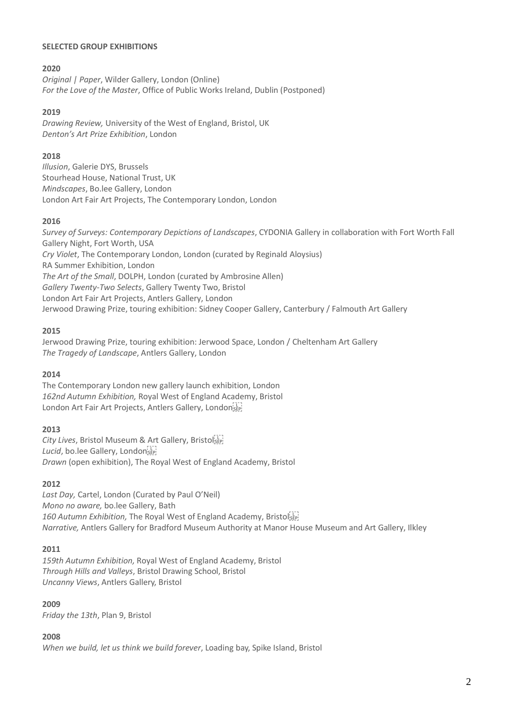## **SELECTED GROUP EXHIBITIONS**

## **2020**

*Original | Paper*, Wilder Gallery, London (Online) *For the Love of the Master*, Office of Public Works Ireland, Dublin (Postponed)

## **2019**

*Drawing Review,* University of the West of England, Bristol, UK *Denton's Art Prize Exhibition*, London

## **2018**

*Illusion*, Galerie DYS, Brussels Stourhead House, National Trust, UK *Mindscapes*, Bo.lee Gallery, London London Art Fair Art Projects, The Contemporary London, London

## **2016**

*Survey of Surveys: Contemporary Depictions of Landscapes*, CYDONIA Gallery in collaboration with Fort Worth Fall Gallery Night, Fort Worth, USA *Cry Violet*, The Contemporary London, London (curated by Reginald Aloysius) RA Summer Exhibition, London *The Art of the Small*, DOLPH, London (curated by Ambrosine Allen) *Gallery Twenty-Two Selects*, Gallery Twenty Two, Bristol London Art Fair Art Projects, Antlers Gallery, London Jerwood Drawing Prize, touring exhibition: Sidney Cooper Gallery, Canterbury / Falmouth Art Gallery

## **2015**

Jerwood Drawing Prize, touring exhibition: Jerwood Space, London / Cheltenham Art Gallery *The Tragedy of Landscape*, Antlers Gallery, London

## **2014**

The Contemporary London new gallery launch exhibition, London *162nd Autumn Exhibition,* Royal West of England Academy, Bristol London Art Fair Art Projects, Antlers Gallery, London SEP!

## **2013**

*City Lives*, Bristol Museum & Art Gallery, Bristol *Lucid*, bo.lee Gallery, London *Drawn* (open exhibition), The Royal West of England Academy, Bristol

## **2012**

*Last Day,* Cartel, London (Curated by Paul O'Neil) *Mono no aware,* bo.lee Gallery, Bath *160 Autumn Exhibition,* The Royal West of England Academy, Bristol *Narrative,* Antlers Gallery for Bradford Museum Authority at Manor House Museum and Art Gallery, Ilkley

## **2011**

*159th Autumn Exhibition,* Royal West of England Academy, Bristol *Through Hills and Valleys*, Bristol Drawing School, Bristol *Uncanny Views*, Antlers Gallery, Bristol

# **2009**

*Friday the 13th*, Plan 9, Bristol

## **2008**

*When we build, let us think we build forever*, Loading bay, Spike Island, Bristol